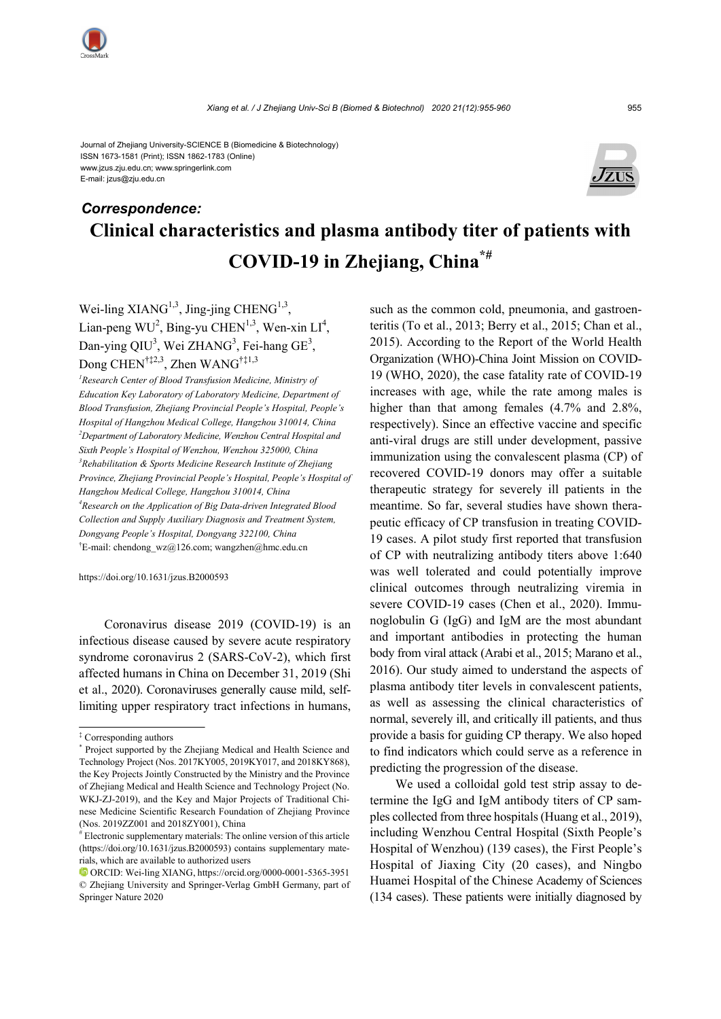Journal of Zhejiang University-SCIENCE B (Biomedicine & Biotechnology) ISSN 1673-1581 (Print); ISSN 1862-1783 (Online) www.jzus.zju.edu.cn; www.springerlink.com E-mail: jzus@zju.edu.cn



# **Clinical characteristics and plasma antibody titer of patients with COVID-19 in Zhejiang, China\*#** *Correspondence:*

Wei-ling  $XIANG<sup>1,3</sup>$ , Jing-jing CHENG<sup>1,3</sup>, Lian-peng  $WU^2$ , Bing-yu CHEN<sup>1,3</sup>, Wen-xin LI<sup>4</sup>, Dan-ying QIU<sup>3</sup>, Wei ZHANG<sup>3</sup>, Fei-hang GE<sup>3</sup>, Dong CHEN<sup>†‡2,3</sup>, Zhen WANG<sup>†‡1,3</sup>

<sup>1</sup> Research Center of Blood Transfusion Medicine, Ministry of *Education Key Laboratory of Laboratory Medicine, Department of Blood Transfusion, Zhejiang Provincial People's Hospital, People's Hospital of Hangzhou Medical College, Hangzhou 310014, China 2 Department of Laboratory Medicine, Wenzhou Central Hospital and Sixth People's Hospital of Wenzhou, Wenzhou 325000, China 3 Rehabilitation & Sports Medicine Research Institute of Zhejiang Province, Zhejiang Provincial People's Hospital, People's Hospital of Hangzhou Medical College, Hangzhou 310014, China 4 Research on the Application of Big Data-driven Integrated Blood Collection and Supply Auxiliary Diagnosis and Treatment System, Dongyang People's Hospital, Dongyang 322100, China*  <sup>†</sup>E-mail: chendong wz@126.com; wangzhen@hmc.edu.cn

https://doi.org/10.1631/jzus.B2000593

Coronavirus disease 2019 (COVID-19) is an infectious disease caused by severe acute respiratory syndrome coronavirus 2 (SARS-CoV-2), which first affected humans in China on December 31, 2019 (Shi et al., 2020). Coronaviruses generally cause mild, selflimiting upper respiratory tract infections in humans,

such as the common cold, pneumonia, and gastroenteritis (To et al., 2013; Berry et al., 2015; Chan et al., 2015). According to the Report of the World Health Organization (WHO)-China Joint Mission on COVID-19 (WHO, 2020), the case fatality rate of COVID-19 increases with age, while the rate among males is higher than that among females  $(4.7\%$  and  $2.8\%$ , respectively). Since an effective vaccine and specific anti-viral drugs are still under development, passive immunization using the convalescent plasma (CP) of recovered COVID-19 donors may offer a suitable therapeutic strategy for severely ill patients in the meantime. So far, several studies have shown therapeutic efficacy of CP transfusion in treating COVID-19 cases. A pilot study first reported that transfusion of CP with neutralizing antibody titers above 1:640 was well tolerated and could potentially improve clinical outcomes through neutralizing viremia in severe COVID-19 cases (Chen et al., 2020). Immunoglobulin G (IgG) and IgM are the most abundant and important antibodies in protecting the human body from viral attack (Arabi et al., 2015; Marano et al., 2016). Our study aimed to understand the aspects of plasma antibody titer levels in convalescent patients, as well as assessing the clinical characteristics of normal, severely ill, and critically ill patients, and thus provide a basis for guiding CP therapy. We also hoped to find indicators which could serve as a reference in predicting the progression of the disease.

We used a colloidal gold test strip assay to determine the IgG and IgM antibody titers of CP samples collected from three hospitals (Huang et al., 2019), including Wenzhou Central Hospital (Sixth People's Hospital of Wenzhou) (139 cases), the First People's Hospital of Jiaxing City (20 cases), and Ningbo Huamei Hospital of the Chinese Academy of Sciences (134 cases). These patients were initially diagnosed by

<sup>‡</sup> Corresponding authors

<sup>\*</sup> Project supported by the Zhejiang Medical and Health Science and Technology Project (Nos. 2017KY005, 2019KY017, and 2018KY868), the Key Projects Jointly Constructed by the Ministry and the Province of Zhejiang Medical and Health Science and Technology Project (No. WKJ-ZJ-2019), and the Key and Major Projects of Traditional Chinese Medicine Scientific Research Foundation of Zhejiang Province (Nos. 2019ZZ001 and 2018ZY001), China

<sup>#</sup> Electronic supplementary materials: The online version of this article (https://doi.org/10.1631/jzus.B2000593) contains supplementary materials, which are available to authorized users

ORCID: Wei-ling XIANG, https://orcid.org/0000-0001-5365-3951 © Zhejiang University and Springer-Verlag GmbH Germany, part of Springer Nature 2020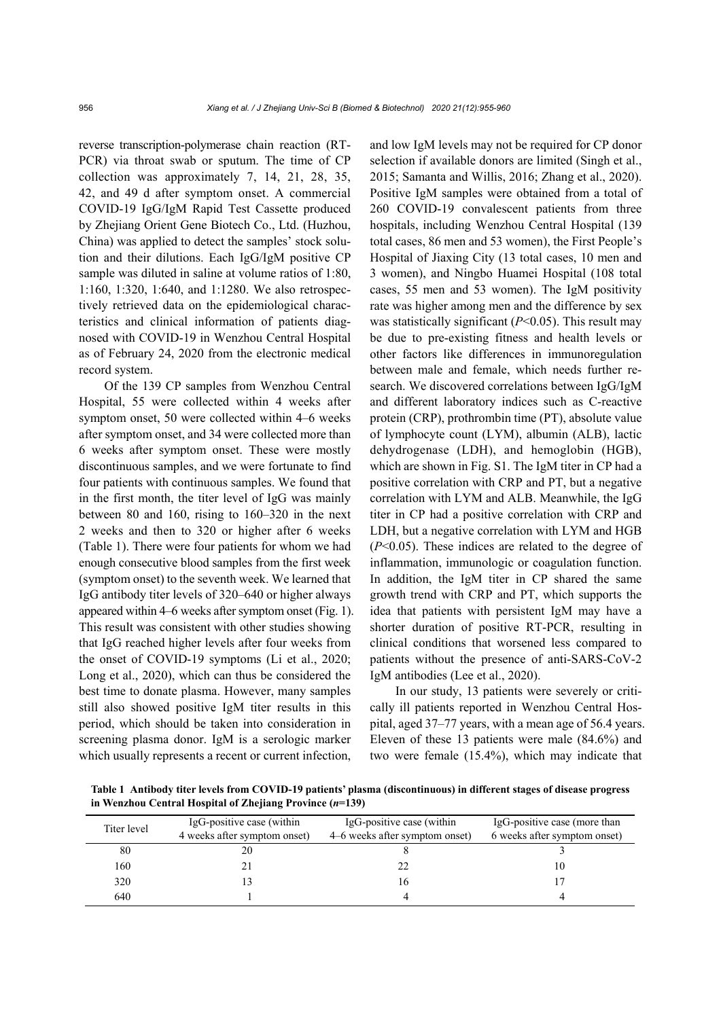reverse transcription-polymerase chain reaction (RT-PCR) via throat swab or sputum. The time of CP collection was approximately 7, 14, 21, 28, 35, 42, and 49 d after symptom onset. A commercial COVID-19 IgG/IgM Rapid Test Cassette produced by Zhejiang Orient Gene Biotech Co., Ltd. (Huzhou, China) was applied to detect the samples' stock solution and their dilutions. Each IgG/IgM positive CP sample was diluted in saline at volume ratios of 1:80, 1:160, 1:320, 1:640, and 1:1280. We also retrospectively retrieved data on the epidemiological characteristics and clinical information of patients diagnosed with COVID-19 in Wenzhou Central Hospital as of February 24, 2020 from the electronic medical record system.

Of the 139 CP samples from Wenzhou Central Hospital, 55 were collected within 4 weeks after symptom onset, 50 were collected within 4–6 weeks after symptom onset, and 34 were collected more than 6 weeks after symptom onset. These were mostly discontinuous samples, and we were fortunate to find four patients with continuous samples. We found that in the first month, the titer level of IgG was mainly between 80 and 160, rising to 160–320 in the next 2 weeks and then to 320 or higher after 6 weeks (Table 1). There were four patients for whom we had enough consecutive blood samples from the first week (symptom onset) to the seventh week. We learned that IgG antibody titer levels of 320–640 or higher always appeared within 4–6 weeks after symptom onset (Fig. 1). This result was consistent with other studies showing that IgG reached higher levels after four weeks from the onset of COVID-19 symptoms (Li et al., 2020; Long et al., 2020), which can thus be considered the best time to donate plasma. However, many samples still also showed positive IgM titer results in this period, which should be taken into consideration in screening plasma donor. IgM is a serologic marker which usually represents a recent or current infection,

and low IgM levels may not be required for CP donor selection if available donors are limited (Singh et al., 2015; Samanta and Willis, 2016; Zhang et al., 2020). Positive IgM samples were obtained from a total of 260 COVID-19 convalescent patients from three hospitals, including Wenzhou Central Hospital (139 total cases, 86 men and 53 women), the First People's Hospital of Jiaxing City (13 total cases, 10 men and 3 women), and Ningbo Huamei Hospital (108 total cases, 55 men and 53 women). The IgM positivity rate was higher among men and the difference by sex was statistically significant (*P*<0.05). This result may be due to pre-existing fitness and health levels or other factors like differences in immunoregulation between male and female, which needs further research. We discovered correlations between IgG/IgM and different laboratory indices such as C-reactive protein (CRP), prothrombin time (PT), absolute value of lymphocyte count (LYM), albumin (ALB), lactic dehydrogenase (LDH), and hemoglobin (HGB), which are shown in Fig. S1. The IgM titer in CP had a positive correlation with CRP and PT, but a negative correlation with LYM and ALB. Meanwhile, the IgG titer in CP had a positive correlation with CRP and LDH, but a negative correlation with LYM and HGB (*P*<0.05). These indices are related to the degree of inflammation, immunologic or coagulation function. In addition, the IgM titer in CP shared the same growth trend with CRP and PT, which supports the idea that patients with persistent IgM may have a shorter duration of positive RT-PCR, resulting in clinical conditions that worsened less compared to patients without the presence of anti-SARS-CoV-2 IgM antibodies (Lee et al., 2020).

In our study, 13 patients were severely or critically ill patients reported in Wenzhou Central Hospital, aged 37–77 years, with a mean age of 56.4 years. Eleven of these 13 patients were male (84.6%) and two were female (15.4%), which may indicate that

**Table 1 Antibody titer levels from COVID-19 patients' plasma (discontinuous) in different stages of disease progress in Wenzhou Central Hospital of Zhejiang Province (***n***=139)** 

| Titer level | IgG-positive case (within    | IgG-positive case (within      | IgG-positive case (more than |
|-------------|------------------------------|--------------------------------|------------------------------|
|             | 4 weeks after symptom onset) | 4–6 weeks after symptom onset) | 6 weeks after symptom onset) |
| 80          | 20                           |                                |                              |
| 160         |                              |                                | 10                           |
| 320         |                              | 16                             |                              |
| 640         |                              |                                |                              |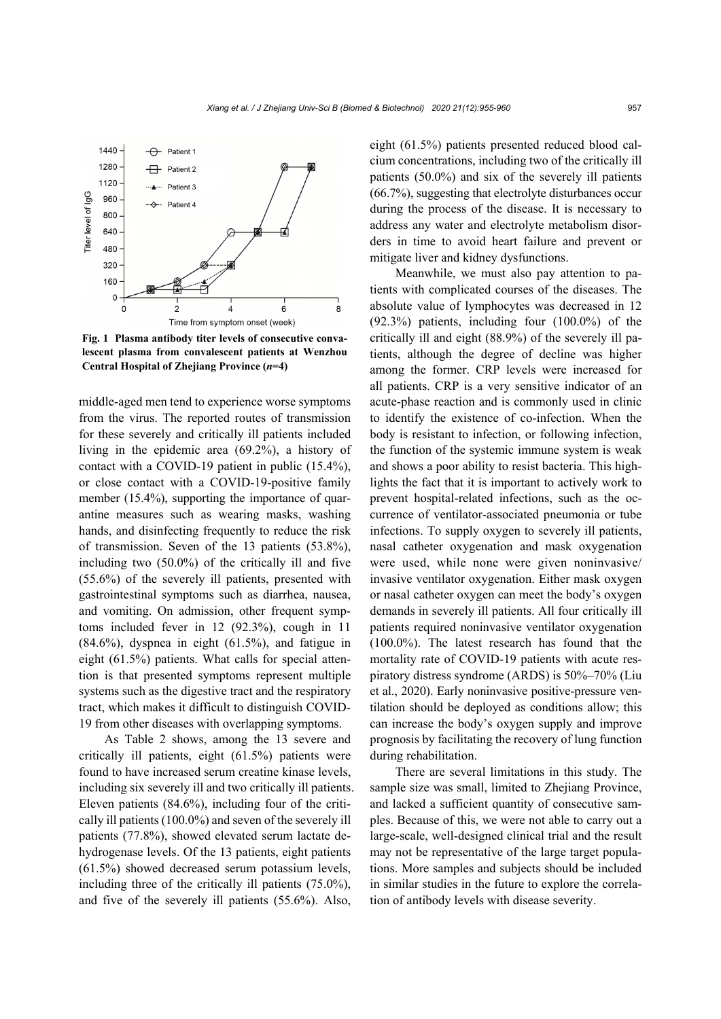

**Fig. 1 Plasma antibody titer levels of consecutive convalescent plasma from convalescent patients at Wenzhou Central Hospital of Zhejiang Province (***n***=4)**

middle-aged men tend to experience worse symptoms from the virus. The reported routes of transmission for these severely and critically ill patients included living in the epidemic area (69.2%), a history of contact with a COVID-19 patient in public (15.4%), or close contact with a COVID-19-positive family member (15.4%), supporting the importance of quarantine measures such as wearing masks, washing hands, and disinfecting frequently to reduce the risk of transmission. Seven of the 13 patients (53.8%), including two (50.0%) of the critically ill and five (55.6%) of the severely ill patients, presented with gastrointestinal symptoms such as diarrhea, nausea, and vomiting. On admission, other frequent symptoms included fever in 12 (92.3%), cough in 11  $(84.6\%)$ , dyspnea in eight  $(61.5\%)$ , and fatigue in eight (61.5%) patients. What calls for special attention is that presented symptoms represent multiple systems such as the digestive tract and the respiratory tract, which makes it difficult to distinguish COVID-19 from other diseases with overlapping symptoms.

As Table 2 shows, among the 13 severe and critically ill patients, eight (61.5%) patients were found to have increased serum creatine kinase levels, including six severely ill and two critically ill patients. Eleven patients (84.6%), including four of the critically ill patients (100.0%) and seven of the severely ill patients (77.8%), showed elevated serum lactate dehydrogenase levels. Of the 13 patients, eight patients (61.5%) showed decreased serum potassium levels, including three of the critically ill patients (75.0%), and five of the severely ill patients (55.6%). Also,

eight (61.5%) patients presented reduced blood calcium concentrations, including two of the critically ill patients (50.0%) and six of the severely ill patients (66.7%), suggesting that electrolyte disturbances occur during the process of the disease. It is necessary to address any water and electrolyte metabolism disorders in time to avoid heart failure and prevent or mitigate liver and kidney dysfunctions.

Meanwhile, we must also pay attention to patients with complicated courses of the diseases. The absolute value of lymphocytes was decreased in 12 (92.3%) patients, including four (100.0%) of the critically ill and eight (88.9%) of the severely ill patients, although the degree of decline was higher among the former. CRP levels were increased for all patients. CRP is a very sensitive indicator of an acute-phase reaction and is commonly used in clinic to identify the existence of co-infection. When the body is resistant to infection, or following infection, the function of the systemic immune system is weak and shows a poor ability to resist bacteria. This highlights the fact that it is important to actively work to prevent hospital-related infections, such as the occurrence of ventilator-associated pneumonia or tube infections. To supply oxygen to severely ill patients, nasal catheter oxygenation and mask oxygenation were used, while none were given noninvasive/ invasive ventilator oxygenation. Either mask oxygen or nasal catheter oxygen can meet the body's oxygen demands in severely ill patients. All four critically ill patients required noninvasive ventilator oxygenation (100.0%). The latest research has found that the mortality rate of COVID-19 patients with acute respiratory distress syndrome (ARDS) is 50%–70% (Liu et al., 2020). Early noninvasive positive-pressure ventilation should be deployed as conditions allow; this can increase the body's oxygen supply and improve prognosis by facilitating the recovery of lung function during rehabilitation.

There are several limitations in this study. The sample size was small, limited to Zhejiang Province, and lacked a sufficient quantity of consecutive samples. Because of this, we were not able to carry out a large-scale, well-designed clinical trial and the result may not be representative of the large target populations. More samples and subjects should be included in similar studies in the future to explore the correlation of antibody levels with disease severity.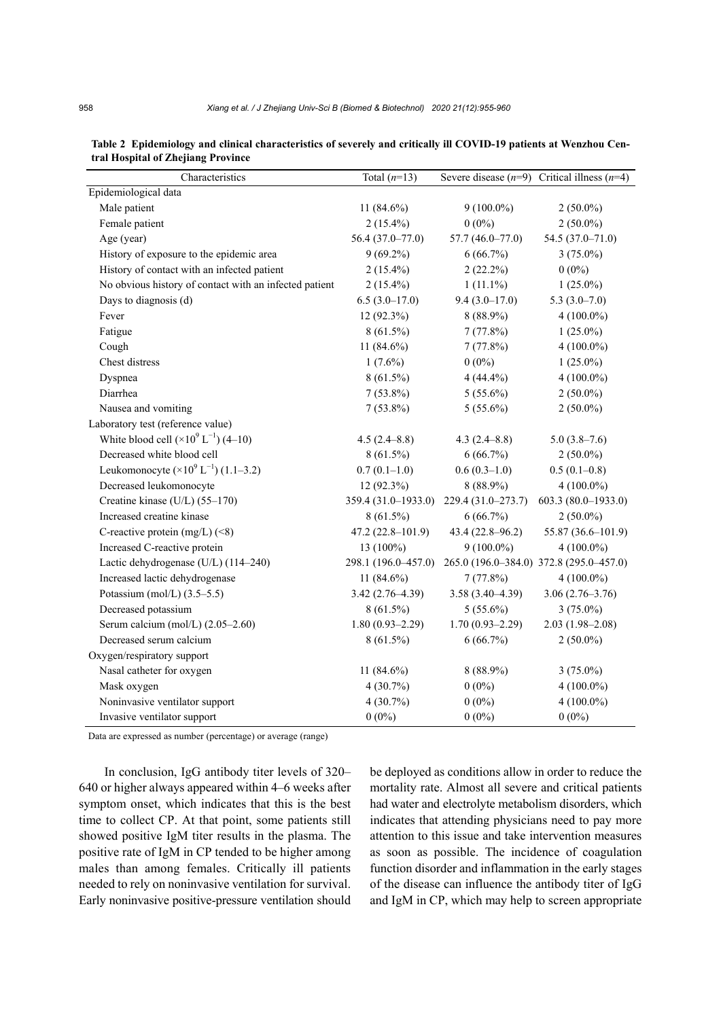| Characteristics                                        | Total $(n=13)$      |                     | Severe disease $(n=9)$ Critical illness $(n=4)$ |
|--------------------------------------------------------|---------------------|---------------------|-------------------------------------------------|
| Epidemiological data                                   |                     |                     |                                                 |
| Male patient                                           | 11 $(84.6\%)$       | $9(100.0\%)$        | $2(50.0\%)$                                     |
| Female patient                                         | $2(15.4\%)$         | $0(0\%)$            | $2(50.0\%)$                                     |
| Age (year)                                             | $56.4(37.0-77.0)$   | $57.7(46.0 - 77.0)$ | $54.5(37.0 - 71.0)$                             |
| History of exposure to the epidemic area               | $9(69.2\%)$         | 6(66.7%)            | $3(75.0\%)$                                     |
| History of contact with an infected patient            | $2(15.4\%)$         | $2(22.2\%)$         | $0(0\%)$                                        |
| No obvious history of contact with an infected patient | $2(15.4\%)$         | $1(11.1\%)$         | $1(25.0\%)$                                     |
| Days to diagnosis (d)                                  | $6.5(3.0-17.0)$     | $9.4(3.0-17.0)$     | $5.3(3.0-7.0)$                                  |
| Fever                                                  | $12(92.3\%)$        | $8(88.9\%)$         | $4(100.0\%)$                                    |
| Fatigue                                                | $8(61.5\%)$         | 7(77.8%)            | $1(25.0\%)$                                     |
| Cough                                                  | 11 $(84.6\%)$       | 7(77.8%)            | $4(100.0\%)$                                    |
| Chest distress                                         | $1(7.6\%)$          | $0(0\%)$            | $1(25.0\%)$                                     |
| Dyspnea                                                | $8(61.5\%)$         | $4(44.4\%)$         | $4(100.0\%)$                                    |
| Diarrhea                                               | $7(53.8\%)$         | $5(55.6\%)$         | $2(50.0\%)$                                     |
| Nausea and vomiting                                    | $7(53.8\%)$         | $5(55.6\%)$         | $2(50.0\%)$                                     |
| Laboratory test (reference value)                      |                     |                     |                                                 |
| White blood cell $(\times 10^{9} L^{-1})$ (4–10)       | $4.5(2.4 - 8.8)$    | $4.3(2.4 - 8.8)$    | $5.0(3.8-7.6)$                                  |
| Decreased white blood cell                             | $8(61.5\%)$         | 6(66.7%)            | $2(50.0\%)$                                     |
| Leukomonocyte $(\times 10^9 \text{ L}^{-1})$ (1.1–3.2) | $0.7(0.1-1.0)$      | $0.6(0.3-1.0)$      | $0.5(0.1-0.8)$                                  |
| Decreased leukomonocyte                                | $12(92.3\%)$        | 8 (88.9%)           | $4(100.0\%)$                                    |
| Creatine kinase (U/L) (55-170)                         | 359.4 (31.0-1933.0) | 229.4 (31.0-273.7)  | $603.3 (80.0 - 1933.0)$                         |
| Increased creatine kinase                              | $8(61.5\%)$         | 6(66.7%)            | $2(50.0\%)$                                     |
| C-reactive protein $(mg/L)$ (<8)                       | 47.2 (22.8-101.9)   | $43.4(22.8 - 96.2)$ | 55.87 (36.6-101.9)                              |
| Increased C-reactive protein                           | 13 (100%)           | $9(100.0\%)$        | $4(100.0\%)$                                    |
| Lactic dehydrogenase (U/L) (114-240)                   | 298.1 (196.0-457.0) |                     | 265.0 (196.0-384.0) 372.8 (295.0-457.0)         |
| Increased lactic dehydrogenase                         | 11 $(84.6\%)$       | 7(77.8%)            | $4(100.0\%)$                                    |
| Potassium (mol/L) $(3.5-5.5)$                          | $3.42(2.76 - 4.39)$ | $3.58(3.40-4.39)$   | $3.06(2.76-3.76)$                               |
| Decreased potassium                                    | $8(61.5\%)$         | $5(55.6\%)$         | $3(75.0\%)$                                     |
| Serum calcium (mol/L) (2.05-2.60)                      | $1.80(0.93 - 2.29)$ | $1.70(0.93 - 2.29)$ | $2.03(1.98-2.08)$                               |
| Decreased serum calcium                                | $8(61.5\%)$         | 6(66.7%)            | $2(50.0\%)$                                     |
| Oxygen/respiratory support                             |                     |                     |                                                 |
| Nasal catheter for oxygen                              | 11 $(84.6\%)$       | 8 (88.9%)           | $3(75.0\%)$                                     |
| Mask oxygen                                            | 4(30.7%)            | $0(0\%)$            | $4(100.0\%)$                                    |
| Noninvasive ventilator support                         | 4(30.7%)            | $0(0\%)$            | $4(100.0\%)$                                    |
| Invasive ventilator support                            | $0(0\%)$            | $0(0\%)$            | $0(0\%)$                                        |

| Table 2 Epidemiology and clinical characteristics of severely and critically ill COVID-19 patients at Wenzhou Cen- |  |
|--------------------------------------------------------------------------------------------------------------------|--|
| tral Hospital of Zhejiang Province                                                                                 |  |

Data are expressed as number (percentage) or average (range)

In conclusion, IgG antibody titer levels of 320– 640 or higher always appeared within 4–6 weeks after symptom onset, which indicates that this is the best time to collect CP. At that point, some patients still showed positive IgM titer results in the plasma. The positive rate of IgM in CP tended to be higher among males than among females. Critically ill patients needed to rely on noninvasive ventilation for survival. Early noninvasive positive-pressure ventilation should be deployed as conditions allow in order to reduce the mortality rate. Almost all severe and critical patients had water and electrolyte metabolism disorders, which indicates that attending physicians need to pay more attention to this issue and take intervention measures as soon as possible. The incidence of coagulation function disorder and inflammation in the early stages of the disease can influence the antibody titer of IgG and IgM in CP, which may help to screen appropriate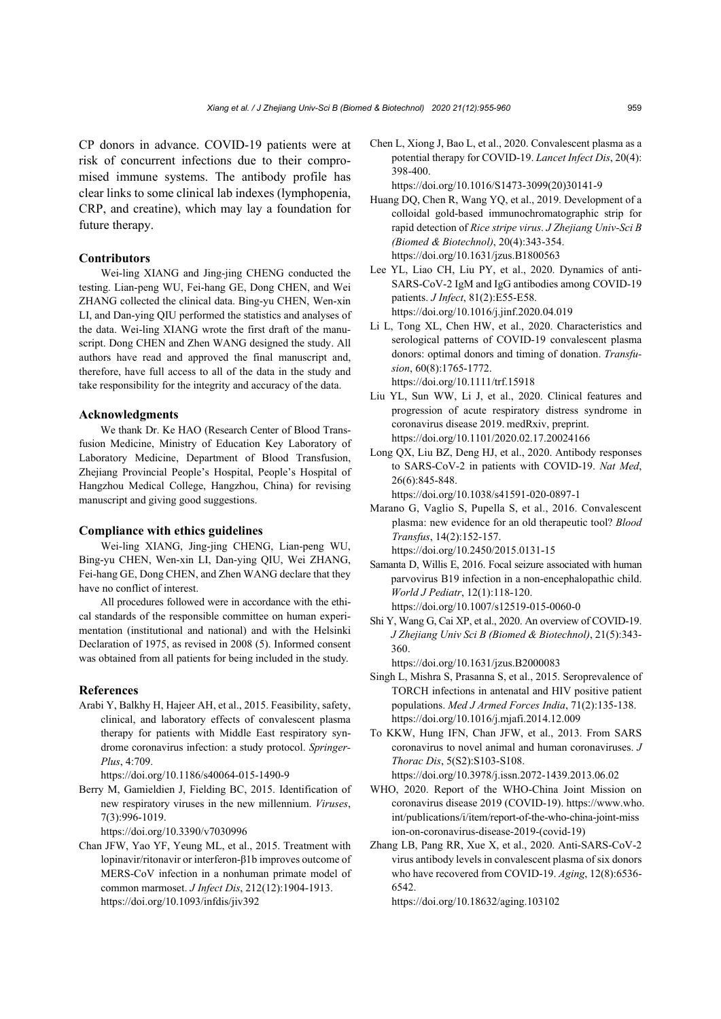CP donors in advance. COVID-19 patients were at risk of concurrent infections due to their compromised immune systems. The antibody profile has clear links to some clinical lab indexes (lymphopenia, CRP, and creatine), which may lay a foundation for future therapy.

### **Contributors**

Wei-ling XIANG and Jing-jing CHENG conducted the testing. Lian-peng WU, Fei-hang GE, Dong CHEN, and Wei ZHANG collected the clinical data. Bing-yu CHEN, Wen-xin LI, and Dan-ying QIU performed the statistics and analyses of the data. Wei-ling XIANG wrote the first draft of the manuscript. Dong CHEN and Zhen WANG designed the study. All authors have read and approved the final manuscript and, therefore, have full access to all of the data in the study and take responsibility for the integrity and accuracy of the data.

#### **Acknowledgments**

We thank Dr. Ke HAO (Research Center of Blood Transfusion Medicine, Ministry of Education Key Laboratory of Laboratory Medicine, Department of Blood Transfusion, Zhejiang Provincial People's Hospital, People's Hospital of Hangzhou Medical College, Hangzhou, China) for revising manuscript and giving good suggestions.

#### **Compliance with ethics guidelines**

Wei-ling XIANG, Jing-jing CHENG, Lian-peng WU, Bing-yu CHEN, Wen-xin LI, Dan-ying QIU, Wei ZHANG, Fei-hang GE, Dong CHEN, and Zhen WANG declare that they have no conflict of interest.

All procedures followed were in accordance with the ethical standards of the responsible committee on human experimentation (institutional and national) and with the Helsinki Declaration of 1975, as revised in 2008 (5). Informed consent was obtained from all patients for being included in the study.

#### **References**

Arabi Y, Balkhy H, Hajeer AH, et al., 2015. Feasibility, safety, clinical, and laboratory effects of convalescent plasma therapy for patients with Middle East respiratory syndrome coronavirus infection: a study protocol. *Springer-Plus*, 4:709.

https://doi.org/10.1186/s40064-015-1490-9

Berry M, Gamieldien J, Fielding BC, 2015. Identification of new respiratory viruses in the new millennium. *Viruses*, 7(3):996-1019.

https://doi.org/10.3390/v7030996

Chan JFW, Yao YF, Yeung ML, et al., 2015. Treatment with lopinavir/ritonavir or interferon-β1b improves outcome of MERS-CoV infection in a nonhuman primate model of common marmoset. *J Infect Dis*, 212(12):1904-1913. https://doi.org/10.1093/infdis/jiv392

Chen L, Xiong J, Bao L, et al., 2020. Convalescent plasma as a potential therapy for COVID-19. *Lancet Infect Dis*, 20(4): 398-400.

https://doi.org/10.1016/S1473-3099(20)30141-9

- Huang DQ, Chen R, Wang YQ, et al., 2019. Development of a colloidal gold-based immunochromatographic strip for rapid detection of *Rice stripe virus*. *J Zhejiang Univ-Sci B (Biomed & Biotechnol)*, 20(4):343-354. https://doi.org/10.1631/jzus.B1800563
- Lee YL, Liao CH, Liu PY, et al., 2020. Dynamics of anti-SARS-CoV-2 IgM and IgG antibodies among COVID-19 patients. *J Infect*, 81(2):E55-E58. https://doi.org/10.1016/j.jinf.2020.04.019
- Li L, Tong XL, Chen HW, et al., 2020. Characteristics and serological patterns of COVID-19 convalescent plasma donors: optimal donors and timing of donation. *Transfusion*, 60(8):1765-1772. https://doi.org/10.1111/trf.15918
- Liu YL, Sun WW, Li J, et al., 2020. Clinical features and progression of acute respiratory distress syndrome in coronavirus disease 2019. medRxiv, preprint. https://doi.org/10.1101/2020.02.17.20024166
- Long QX, Liu BZ, Deng HJ, et al., 2020. Antibody responses to SARS-CoV-2 in patients with COVID-19. *Nat Med*, 26(6):845-848.

https://doi.org/10.1038/s41591-020-0897-1

Marano G, Vaglio S, Pupella S, et al., 2016. Convalescent plasma: new evidence for an old therapeutic tool? *Blood Transfus*, 14(2):152-157. https://doi.org/10.2450/2015.0131-15

Samanta D, Willis E, 2016. Focal seizure associated with human parvovirus B19 infection in a non-encephalopathic child. *World J Pediatr*, 12(1):118-120. https://doi.org/10.1007/s12519-015-0060-0

Shi Y, Wang G, Cai XP, et al., 2020. An overview of COVID-19. *J Zhejiang Univ Sci B (Biomed & Biotechnol)*, 21(5):343- 360.

https://doi.org/10.1631/jzus.B2000083

- Singh L, Mishra S, Prasanna S, et al., 2015. Seroprevalence of TORCH infections in antenatal and HIV positive patient populations. *Med J Armed Forces India*, 71(2):135-138. https://doi.org/10.1016/j.mjafi.2014.12.009
- To KKW, Hung IFN, Chan JFW, et al., 2013. From SARS coronavirus to novel animal and human coronaviruses. *J Thorac Dis*, 5(S2):S103-S108. https://doi.org/10.3978/j.issn.2072-1439.2013.06.02
- WHO, 2020. Report of the WHO-China Joint Mission on coronavirus disease 2019 (COVID-19). https://www.who. int/publications/i/item/report-of-the-who-china-joint-miss ion-on-coronavirus-disease-2019-(covid-19)
- Zhang LB, Pang RR, Xue X, et al., 2020. Anti-SARS-CoV-2 virus antibody levels in convalescent plasma of six donors who have recovered from COVID-19. *Aging*, 12(8):6536- 6542.

https://doi.org/10.18632/aging.103102